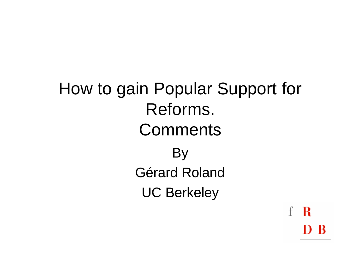How to gain Popular Support for Reforms. **Comments** By Gérard Roland UC Berkeley

 $\mathbf R$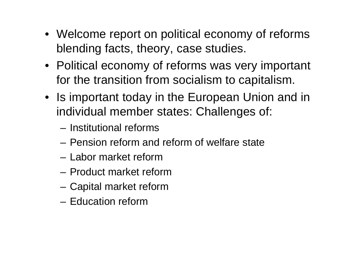- Welcome report on political economy of reforms blending facts, theory, case studies.
- Political economy of reforms was very important for the transition from socialism to capitalism.
- Is important today in the European Union and in individual member states: Challenges of:
	- Institutional reforms
	- Pension reform and reform of welfare state
	- Labor market reform
	- Product market reform
	- Capital market reform
	- Education reform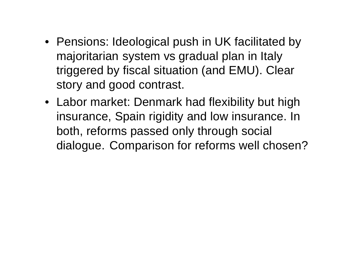- Pensions: Ideological push in UK facilitated by majoritarian system vs gradual plan in Italy triggered by fiscal situation (and EMU). Clear story and good contrast.
- Labor market: Denmark had flexibility but high insurance, Spain rigidity and low insurance. In both, reforms passed only through social dialogue. Comparison for reforms well chosen?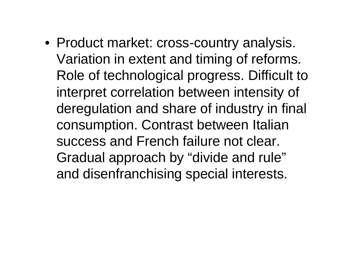• Product market: cross-country analysis. Variation in extent and timing of reforms. Role of technological progress. Difficult to interpret correlation between intensity of deregulation and share of industry in final consumption. Contrast between Italian success and French failure not clear. Gradual approach by "divide and rule" and disenfranchising special interests.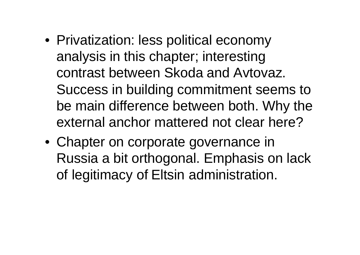- Privatization: less political economy analysis in this chapter; interesting contrast between Skoda and Avtovaz. Success in building commitment seems to be main difference between both. Why the external anchor mattered not clear here?
- Chapter on corporate governance in Russia a bit orthogonal. Emphasis on lack of legitimacy of Eltsin administration.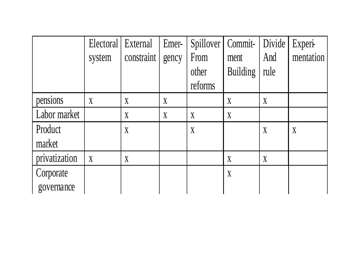|               | Electoral   External |                | Emer-            | Spillover | Commit-          | Divide           | Experi-   |
|---------------|----------------------|----------------|------------------|-----------|------------------|------------------|-----------|
|               | system               | constraint     | gency            | From      | ment             | And              | mentation |
|               |                      |                |                  | other     | <b>Building</b>  | rule             |           |
|               |                      |                |                  | reforms   |                  |                  |           |
| pensions      | $\boldsymbol{X}$     | X              | $\boldsymbol{X}$ |           | X                | $\boldsymbol{X}$ |           |
| Labor market  |                      | X              | $\boldsymbol{X}$ | X         | $\boldsymbol{X}$ |                  |           |
| Product       |                      | X              |                  | X         |                  | X                | X         |
| market        |                      |                |                  |           |                  |                  |           |
| privatization | $\boldsymbol{X}$     | $\overline{X}$ |                  |           | X                | $\bf{X}$         |           |
| Corporate     |                      |                |                  |           | $\boldsymbol{X}$ |                  |           |
| governance    |                      |                |                  |           |                  |                  |           |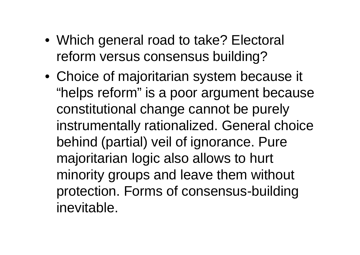- Which general road to take? Electoral reform versus consensus building?
- Choice of majoritarian system because it "helps reform" is a poor argument because constitutional change cannot be purely instrumentally rationalized. General choice behind (partial) veil of ignorance. Pure majoritarian logic also allows to hurt minority groups and leave them without protection. Forms of consensus-building inevitable.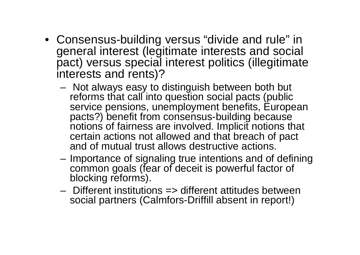- Consensus-building versus "divide and rule" in general interest (legitimate interests and social pact) versus special interest politics (illegitimate interests and rents)?
	- Not always easy to distinguish between both but reforms that call into question social pacts (public service pensions, unemployment benefits, European pacts?) benefit from consensus-building because notions of fairness are involved. Implicit notions that certain actions not allowed and that breach of pact and of mutual trust allows destructive actions.
	- Importance of signaling true intentions and of defining common goals (fear of deceit is powerful factor of blocking reforms).
	- Different institutions => different attitudes between social partners (Calmfors-Driffill absent in report!)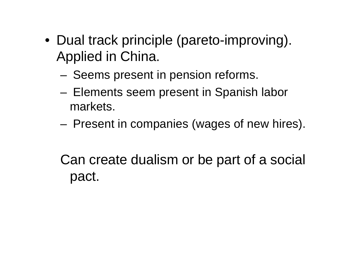- Dual track principle (pareto-improving). Applied in China.
	- Seems present in pension reforms.
	- Elements seem present in Spanish labor markets.
	- Present in companies (wages of new hires).

Can create dualism or be part of a social pact.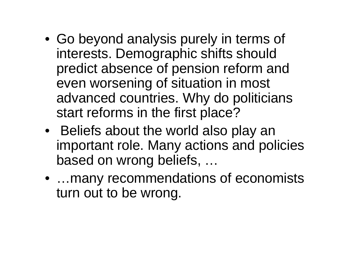- Go beyond analysis purely in terms of interests. Demographic shifts should predict absence of pension reform and even worsening of situation in most advanced countries. Why do politicians start reforms in the first place?
- Beliefs about the world also play an important role. Many actions and policies based on wrong beliefs, …
- …many recommendations of economists turn out to be wrong.